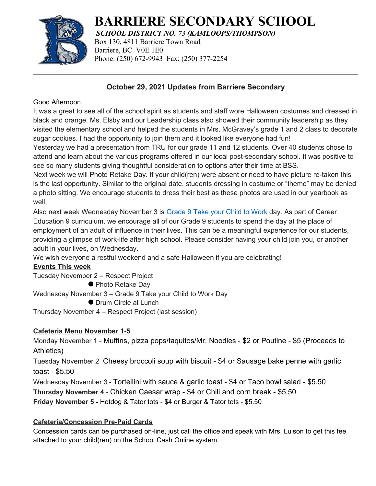

# **BARRIERE SECONDARY SCHOOL**

*SCHOOL DISTRICT NO. 73 (KAMLOOPS/THOMPSON)* Box 130, 4811 Barriere Town Road Barriere, BC V0E 1E0 Phone: (250) 672-9943 Fax: (250) 377-2254

## **October 29, 2021 Updates from Barriere Secondary**

#### Good Afternoon,

It was a great to see all of the school spirit as students and staff wore Halloween costumes and dressed in black and orange. Ms. Elsby and our Leadership class also showed their community leadership as they visited the elementary school and helped the students in Mrs. McGravey's grade 1 and 2 class to decorate sugar cookies. I had the opportunity to join them and it looked like everyone had fun!

Yesterday we had a presentation from TRU for our grade 11 and 12 students. Over 40 students chose to attend and learn about the various programs offered in our local post-secondary school. It was positive to see so many students giving thoughtful consideration to options after their time at BSS.

Next week we will Photo Retake Day. If your child(ren) were absent or need to have picture re-taken this is the last opportunity. Similar to the original date, students dressing in costume or "theme" may be denied a photo sitting. We encourage students to dress their best as these photos are used in our yearbook as well.

Also next week Wednesday November 3 is [Grade 9 Take your Child to Work](https://www.thelearningpartnership.ca/take-our-kids-to-work) day. As part of Career Education 9 curriculum, we encourage all of our Grade 9 students to spend the day at the place of employment of an adult of influence in their lives. This can be a meaningful experience for our students, providing a glimpse of work-life after high school. Please consider having your child join you, or another adult in your lives, on Wednesday.

We wish everyone a restful weekend and a safe Halloween if you are celebrating!

## **Events This week**

Tuesday November 2 – Respect Project

● Photo Retake Day

Wednesday November 3 – Grade 9 Take your Child to Work Day

● Drum Circle at Lunch

Thursday November 4 – Respect Project (last session)

## **Cafeteria Menu November 1-5**

Monday November 1 - Muffins, pizza pops/taquitos/Mr. Noodles - \$2 or Poutine - \$5 (Proceeds to Athletics)

Tuesday November 2 Cheesy broccoli soup with biscuit - \$4 or Sausage bake penne with garlic toast - \$5.50

Wednesday November 3 - Tortellini with sauce & garlic toast - \$4 or Taco bowl salad - \$5.50

**Thursday November 4 -** Chicken Caesar wrap - \$4 or Chili and corn break - \$5.50

**Friday November 5 -** Hotdog & Tator tots - \$4 or Burger & Tator tots - \$5.50

# **Cafeteria/Concession Pre-Paid Cards**

Concession cards can be purchased on-line, just call the office and speak with Mrs. Luison to get this fee attached to your child(ren) on the School Cash Online system.